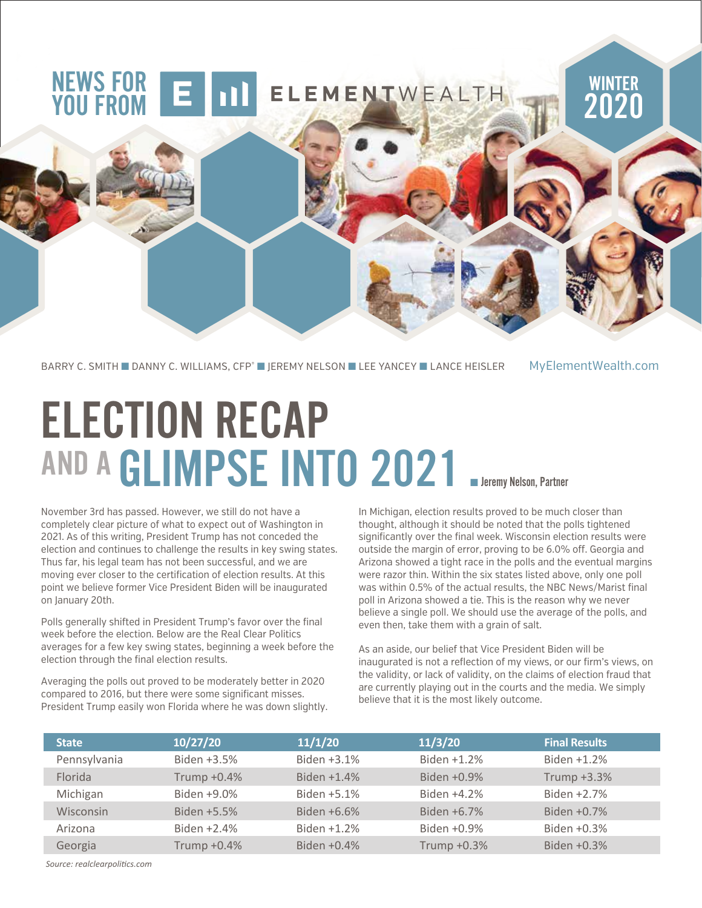### NEWS FOR YOU FROM

BARRY C. SMITH ■ DANNY C. WILLIAMS, CFP® ■ JEREMY NELSON ■ LEE YANCEY ■ LANCE HEISLER MyElementWealth.com

ELECTION RECAP AND A GLIMPSE INTO 2021 **Bleemy Nelson, Partner** 

November 3rd has passed. However, we still do not have a completely clear picture of what to expect out of Washington in 2021. As of this writing, President Trump has not conceded the election and continues to challenge the results in key swing states. Thus far, his legal team has not been successful, and we are moving ever closer to the certification of election results. At this point we believe former Vice President Biden will be inaugurated on January 20th.

Polls generally shifted in President Trump's favor over the final week before the election. Below are the Real Clear Politics averages for a few key swing states, beginning a week before the election through the final election results.

Averaging the polls out proved to be moderately better in 2020 compared to 2016, but there were some significant misses. President Trump easily won Florida where he was down slightly. In Michigan, election results proved to be much closer than thought, although it should be noted that the polls tightened significantly over the final week. Wisconsin election results were outside the margin of error, proving to be 6.0% off. Georgia and Arizona showed a tight race in the polls and the eventual margins were razor thin. Within the six states listed above, only one poll was within 0.5% of the actual results, the NBC News/Marist final poll in Arizona showed a tie. This is the reason why we never believe a single poll. We should use the average of the polls, and even then, take them with a grain of salt.

**WINTER** 

2020

As an aside, our belief that Vice President Biden will be inaugurated is not a reflection of my views, or our firm's views, on the validity, or lack of validity, on the claims of election fraud that are currently playing out in the courts and the media. We simply believe that it is the most likely outcome.

| <b>State</b> | 10/27/20    | 11/1/20        | 11/3/20     | <b>Final Results</b> |
|--------------|-------------|----------------|-------------|----------------------|
| Pennsylvania | Biden +3.5% | Biden +3.1%    | Biden +1.2% | Biden +1.2%          |
| Florida      | Trump +0.4% | Biden $+1.4\%$ | Biden +0.9% | Trump +3.3%          |
| Michigan     | Biden +9.0% | Biden +5.1%    | Biden +4.2% | Biden +2.7%          |
| Wisconsin    | Biden +5.5% | Biden +6.6%    | Biden +6.7% | Biden +0.7%          |
| Arizona      | Biden +2.4% | Biden +1.2%    | Biden +0.9% | Biden +0.3%          |
| Georgia      | Trump +0.4% | Biden +0.4%    | Trump +0.3% | Biden $+0.3%$        |

*Source: realclearpolitics.com*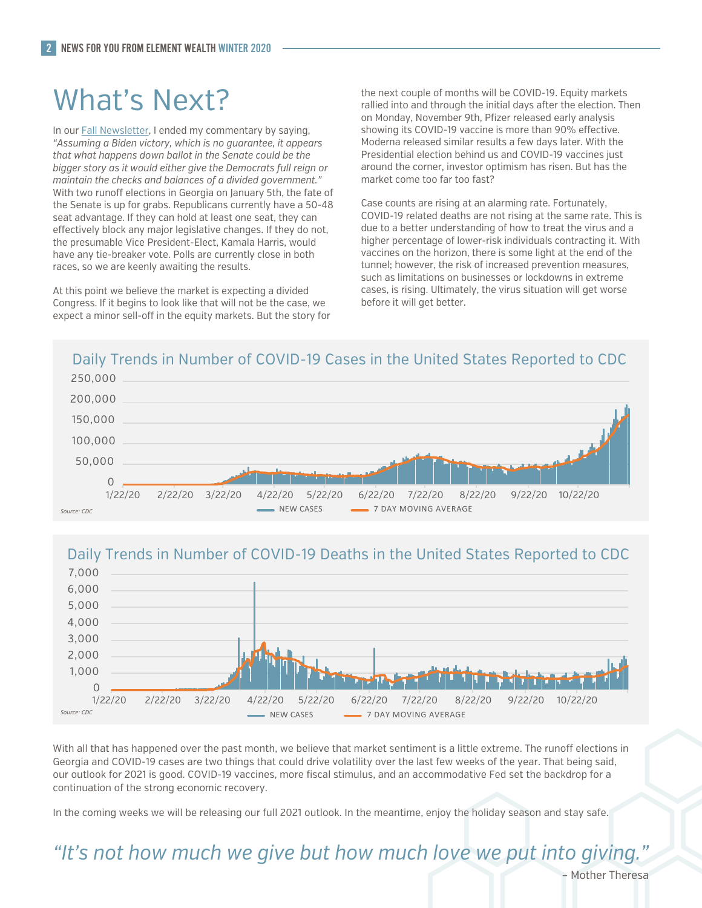## What's Next?

In our Fall Newsletter, I ended my commentary by saying, *"Assuming a Biden victory, which is no guarantee, it appears that what happens down ballot in the Senate could be the bigger story as it would either give the Democrats full reign or maintain the checks and balances of a divided government."*  With two runoff elections in Georgia on January 5th, the fate of the Senate is up for grabs. Republicans currently have a 50-48 seat advantage. If they can hold at least one seat, they can effectively block any major legislative changes. If they do not, the presumable Vice President-Elect, Kamala Harris, would have any tie-breaker vote. Polls are currently close in both races, so we are keenly awaiting the results.

At this point we believe the market is expecting a divided Congress. If it begins to look like that will not be the case, we expect a minor sell-off in the equity markets. But the story for the next couple of months will be COVID-19. Equity markets rallied into and through the initial days after the election. Then on Monday, November 9th, Pfizer released early analysis showing its COVID-19 vaccine is more than 90% effective. Moderna released similar results a few days later. With the Presidential election behind us and COVID-19 vaccines just around the corner, investor optimism has risen. But has the market come too far too fast?

Case counts are rising at an alarming rate. Fortunately, COVID-19 related deaths are not rising at the same rate. This is due to a better understanding of how to treat the virus and a higher percentage of lower-risk individuals contracting it. With vaccines on the horizon, there is some light at the end of the tunnel; however, the risk of increased prevention measures, such as limitations on businesses or lockdowns in extreme cases, is rising. Ultimately, the virus situation will get worse before it will get better.

#### Daily Trends in Number of COVID-19 Cases in the United States Reported to CDC



### Daily Trends in Number of COVID-19 Deaths in the United States Reported to CDC



With all that has happened over the past month, we believe that market sentiment is a little extreme. The runoff elections in Georgia and COVID-19 cases are two things that could drive volatility over the last few weeks of the year. That being said, our outlook for 2021 is good. COVID-19 vaccines, more fiscal stimulus, and an accommodative Fed set the backdrop for a continuation of the strong economic recovery.

In the coming weeks we will be releasing our full 2021 outlook. In the meantime, enjoy the holiday season and stay safe.

*"It's not how much we give but how much love we put into giving."*

Mother Theresa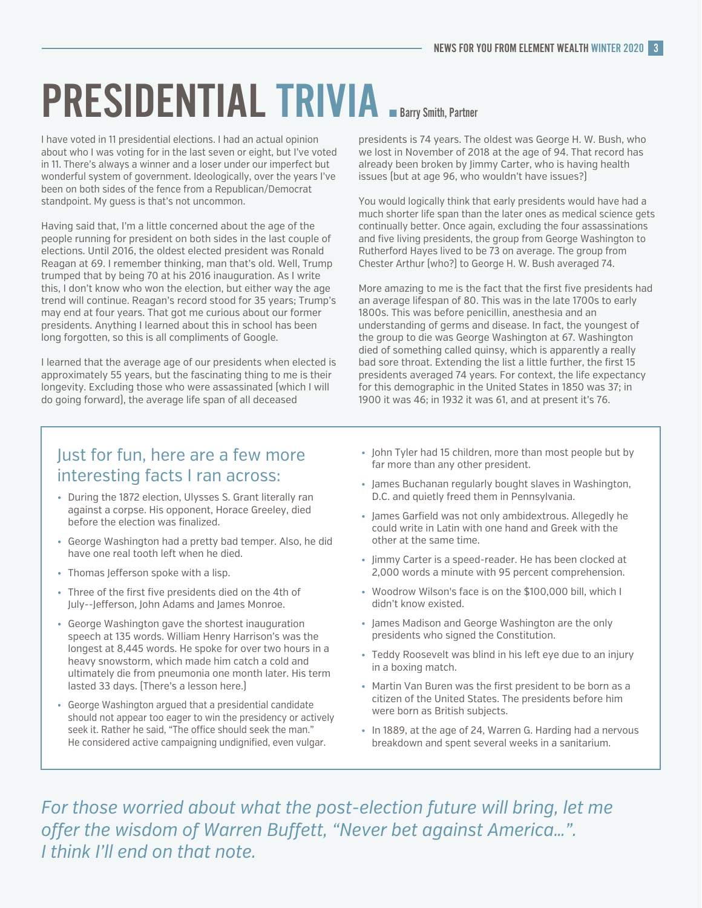# PRESIDENTIAL TRIVIA **Barry Smith, Partner**

I have voted in 11 presidential elections. I had an actual opinion about who I was voting for in the last seven or eight, but I've voted in 11. There's always a winner and a loser under our imperfect but wonderful system of government. Ideologically, over the years I've been on both sides of the fence from a Republican/Democrat standpoint. My guess is that's not uncommon.

Having said that, I'm a little concerned about the age of the people running for president on both sides in the last couple of elections. Until 2016, the oldest elected president was Ronald Reagan at 69. I remember thinking, man that's old. Well, Trump trumped that by being 70 at his 2016 inauguration. As I write this, I don't know who won the election, but either way the age trend will continue. Reagan's record stood for 35 years; Trump's may end at four years. That got me curious about our former presidents. Anything I learned about this in school has been long forgotten, so this is all compliments of Google.

I learned that the average age of our presidents when elected is approximately 55 years, but the fascinating thing to me is their longevity. Excluding those who were assassinated (which I will do going forward), the average life span of all deceased

presidents is 74 years. The oldest was George H. W. Bush, who we lost in November of 2018 at the age of 94. That record has already been broken by Jimmy Carter, who is having health issues (but at age 96, who wouldn't have issues?)

You would logically think that early presidents would have had a much shorter life span than the later ones as medical science gets continually better. Once again, excluding the four assassinations and five living presidents, the group from George Washington to Rutherford Hayes lived to be 73 on average. The group from Chester Arthur (who?) to George H. W. Bush averaged 74.

More amazing to me is the fact that the first five presidents had an average lifespan of 80. This was in the late 1700s to early 1800s. This was before penicillin, anesthesia and an understanding of germs and disease. In fact, the youngest of the group to die was George Washington at 67. Washington died of something called quinsy, which is apparently a really bad sore throat. Extending the list a little further, the first 15 presidents averaged 74 years. For context, the life expectancy for this demographic in the United States in 1850 was 37; in 1900 it was 46; in 1932 it was 61, and at present it's 76.

#### Just for fun, here are a few more interesting facts I ran across:

- During the 1872 election, Ulysses S. Grant literally ran against a corpse. His opponent, Horace Greeley, died before the election was finalized.
- George Washington had a pretty bad temper. Also, he did have one real tooth left when he died.
- Thomas Jefferson spoke with a lisp.
- Three of the first five presidents died on the 4th of July--Jefferson, John Adams and James Monroe.
- George Washington gave the shortest inauguration speech at 135 words. William Henry Harrison's was the longest at 8,445 words. He spoke for over two hours in a heavy snowstorm, which made him catch a cold and ultimately die from pneumonia one month later. His term lasted 33 days. (There's a lesson here.)
- George Washington argued that a presidential candidate should not appear too eager to win the presidency or actively seek it. Rather he said. "The office should seek the man." He considered active campaigning undignified, even vulgar.
- John Tyler had 15 children, more than most people but by far more than any other president.
- James Buchanan regularly bought slaves in Washington, D.C. and quietly freed them in Pennsylvania.
- James Garfield was not only ambidextrous. Allegedly he could write in Latin with one hand and Greek with the other at the same time.
- Jimmy Carter is a speed-reader. He has been clocked at 2,000 words a minute with 95 percent comprehension.
- Woodrow Wilson's face is on the \$100,000 bill, which I didn't know existed.
- James Madison and George Washington are the only presidents who signed the Constitution.
- Teddy Roosevelt was blind in his left eye due to an injury in a boxing match.
- Martin Van Buren was the first president to be born as a citizen of the United States. The presidents before him were born as British subjects.
- In 1889, at the age of 24, Warren G. Harding had a nervous breakdown and spent several weeks in a sanitarium.

For those worried about what the post-election future will bring, let me offer the wisdom of Warren Buffett, "Never bet against America...". *I think I'll end on that note.*